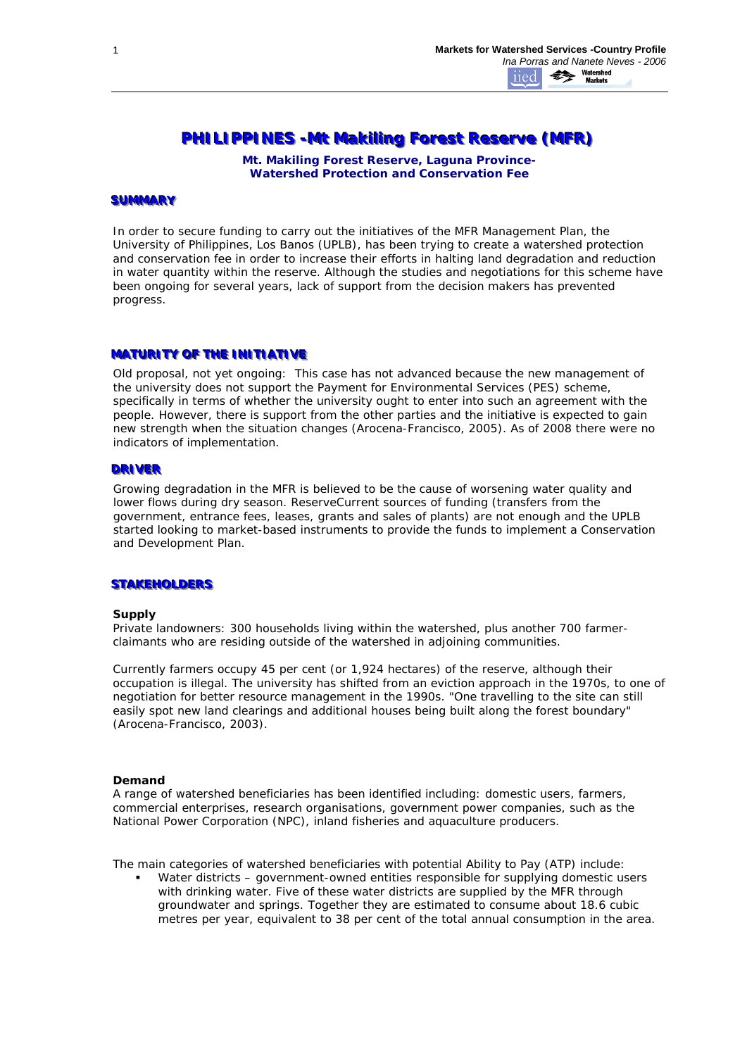# **PHILIPPINES - Mt Makiling Forest Reserve (MFR)**

*Mt. Makiling Forest Reserve, Laguna Province-Watershed Protection and Conservation Fee*

#### **SUMMARY**

In order to secure funding to carry out the initiatives of the MFR Management Plan, the University of Philippines, Los Banos (UPLB), has been trying to create a watershed protection and conservation fee in order to increase their efforts in halting land degradation and reduction in water quantity within the reserve. Although the studies and negotiations for this scheme have been ongoing for several years, lack of support from the decision makers has prevented progress.

## **MATURITY OF THE INITIATIVE**

*Old proposal, not yet ongoing:*This case has not advanced because the new management of the university does not support the Payment for Environmental Services (PES) scheme, specifically in terms of whether the university ought to enter into such an agreement with the people. However, there is support from the other parties and the initiative is expected to gain new strength when the situation changes (Arocena-Francisco, 2005). As of 2008 there were no indicators of implementation.

# **DRIVER**

Growing degradation in the MFR is believed to be the cause of worsening water quality and lower flows during dry season. ReserveCurrent sources of funding (transfers from the government, entrance fees, leases, grants and sales of plants) are not enough and the UPLB started looking to market-based instruments to provide the funds to implement a Conservation and Development Plan.

## **STAKEHOLDERS**

#### **Supply**

Private landowners: 300 households living within the watershed, plus another 700 farmerclaimants who are residing outside of the watershed in adjoining communities.

Currently farmers occupy 45 per cent (or 1,924 hectares) of the reserve, although their occupation is illegal. The university has shifted from an eviction approach in the 1970s, to one of negotiation for better resource management in the 1990s. *"One travelling to the site can still easily spot new land clearings and additional houses being built along the forest boundary" (Arocena-Francisco, 2003).*

#### **Demand**

A range of watershed beneficiaries has been identified including: domestic users, farmers, commercial enterprises, research organisations, government power companies, such as the National Power Corporation (NPC), inland fisheries and aquaculture producers.

The main categories of watershed beneficiaries with potential Ability to Pay (ATP) include:

 Water districts – government-owned entities responsible for supplying domestic users with drinking water. Five of these water districts are supplied by the MFR through groundwater and springs. Together they are estimated to consume about 18.6 cubic metres per year, equivalent to 38 per cent of the total annual consumption in the area.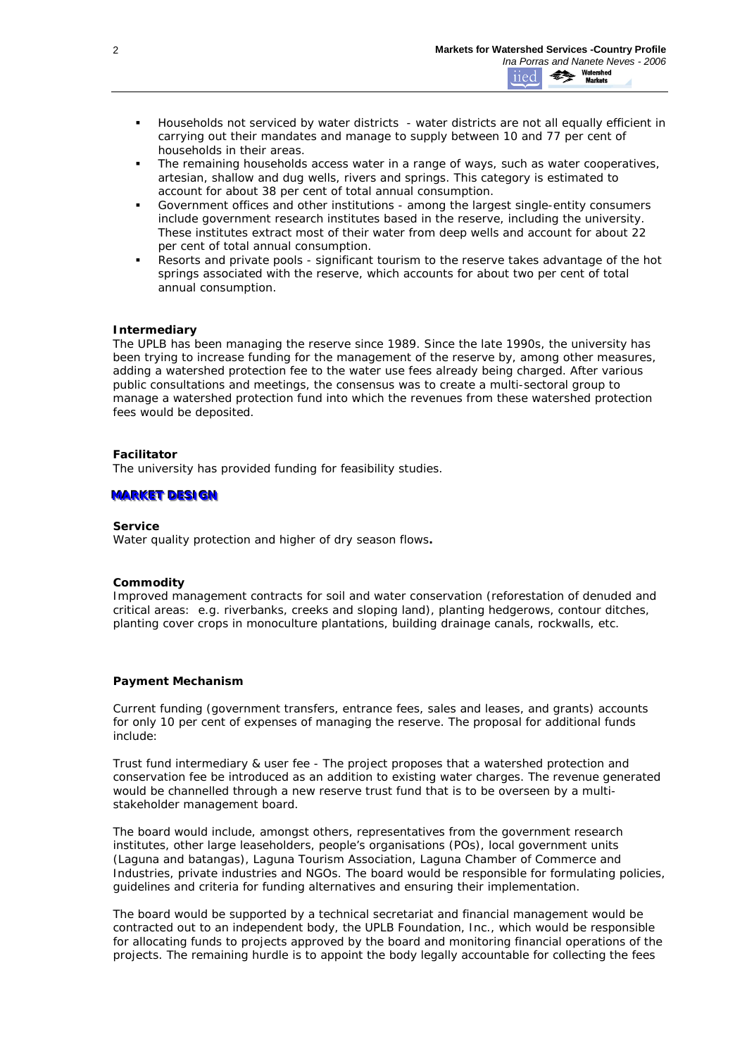- Households not serviced by water districts water districts are not all equally efficient in carrying out their mandates and manage to supply between 10 and 77 per cent of households in their areas.
- The remaining households access water in a range of ways, such as water cooperatives, artesian, shallow and dug wells, rivers and springs. This category is estimated to account for about 38 per cent of total annual consumption.
- Government offices and other institutions among the largest single-entity consumers include government research institutes based in the reserve, including the university. These institutes extract most of their water from deep wells and account for about 22 per cent of total annual consumption.
- Resorts and private pools significant tourism to the reserve takes advantage of the hot springs associated with the reserve, which accounts for about two per cent of total annual consumption.

# **Intermediary**

The UPLB has been managing the reserve since 1989. Since the late 1990s, the university has been trying to increase funding for the management of the reserve by, among other measures, adding a watershed protection fee to the water use fees already being charged. After various public consultations and meetings, the consensus was to create a multi-sectoral group to manage a watershed protection fund into which the revenues from these watershed protection fees would be deposited.

# **Facilitator**

The university has provided funding for feasibility studies.

# **MARKET DESIGN**

#### **Service**

*Water quality protection and higher of dry season flows***.**

## **Commodity**

*Improved management contracts* for soil and water conservation (reforestation of denuded and critical areas: e.g. riverbanks, creeks and sloping land), planting hedgerows, contour ditches, planting cover crops in monoculture plantations, building drainage canals, rockwalls, etc.

# **Payment Mechanism**

Current funding (government transfers, entrance fees, sales and leases, and grants) accounts for only 10 per cent of expenses of managing the reserve. The proposal for additional funds include:

*Trust fund intermediary & user fee* - The project proposes that a watershed protection and conservation fee be introduced as an addition to existing water charges. The revenue generated would be channelled through a new reserve trust fund that is to be overseen by a multistakeholder management board.

The board would include, amongst others, representatives from the government research institutes, other large leaseholders, people's organisations (POs), local government units (Laguna and batangas), Laguna Tourism Association, Laguna Chamber of Commerce and Industries, private industries and NGOs. The board would be responsible for formulating policies, guidelines and criteria for funding alternatives and ensuring their implementation.

The board would be supported by a technical secretariat and financial management would be contracted out to an independent body, the UPLB Foundation, Inc., which would be responsible for allocating funds to projects approved by the board and monitoring financial operations of the projects. The remaining hurdle is to appoint the body legally accountable for collecting the fees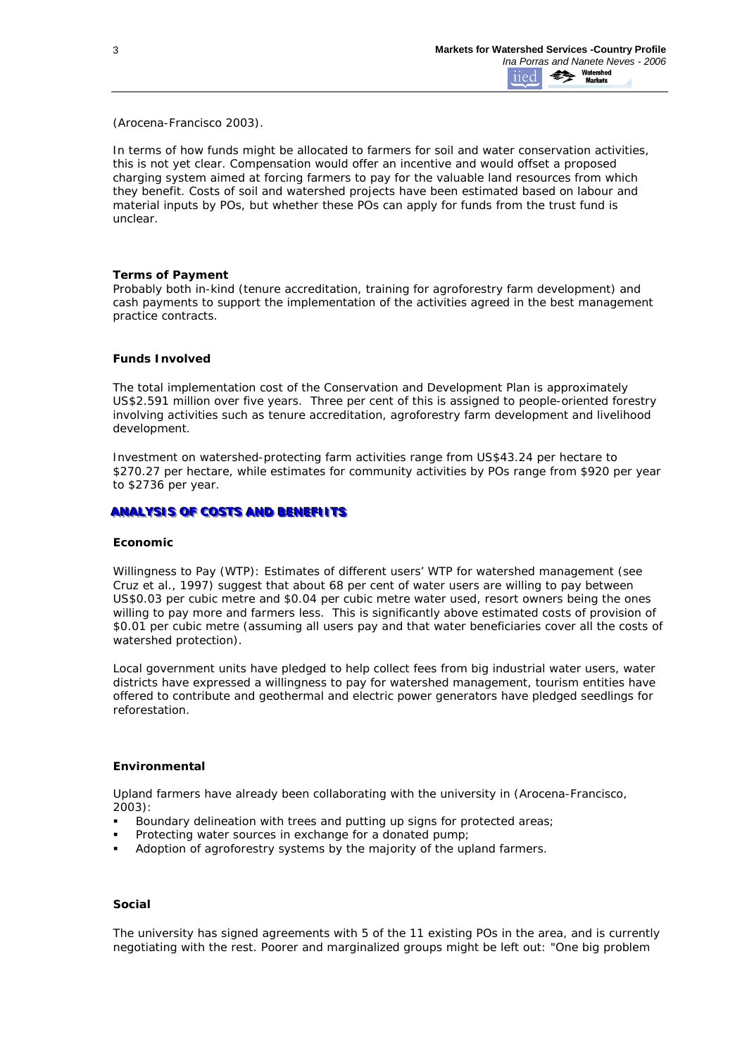(Arocena-Francisco 2003).

In terms of how funds might be allocated to farmers for soil and water conservation activities, this is not yet clear. Compensation would offer an incentive and would offset a proposed charging system aimed at forcing farmers to pay for the valuable land resources from which they benefit. Costs of soil and watershed projects have been estimated based on labour and material inputs by POs, but whether these POs can apply for funds from the trust fund is unclear.

## **Terms of Payment**

Probably both *in-kind* (tenure accreditation, training for agroforestry farm development) and *cash* payments to support the implementation of the activities agreed in the best management practice contracts.

#### **Funds Involved**

The total implementation cost of the Conservation and Development Plan is approximately US\$2.591 million over five years. Three per cent of this is assigned to people-oriented forestry involving activities such as tenure accreditation, agroforestry farm development and livelihood development.

Investment on watershed-protecting farm activities range from US\$43.24 per hectare to \$270.27 per hectare, while estimates for community activities by POs range from \$920 per year to \$2736 per year.

# **ANALYSIS OF COSTS AND BENEFIITS**

#### **Economic**

*Willingness to Pay (WTP):* Estimates of different users' WTP for watershed management (see Cruz et al., 1997) suggest that about 68 per cent of water users are willing to pay between US\$0.03 per cubic metre and \$0.04 per cubic metre water used, resort owners being the ones willing to pay more and farmers less. This is significantly above estimated costs of provision of \$0.01 per cubic metre (assuming all users pay and that water beneficiaries cover all the costs of watershed protection).

Local government units have pledged to help collect fees from big industrial water users, water districts have expressed a willingness to pay for watershed management, tourism entities have offered to contribute and geothermal and electric power generators have pledged seedlings for reforestation.

#### **Environmental**

Upland farmers have already been collaborating with the university in (Arocena-Francisco, 2003):

- Boundary delineation with trees and putting up signs for protected areas;
- Protecting water sources in exchange for a donated pump;
- Adoption of agroforestry systems by the majority of the upland farmers.

#### **Social**

The university has signed agreements with 5 of the 11 existing POs in the area, and is currently negotiating with the rest. *Poorer and marginalized groups might be left out:* "*One big problem*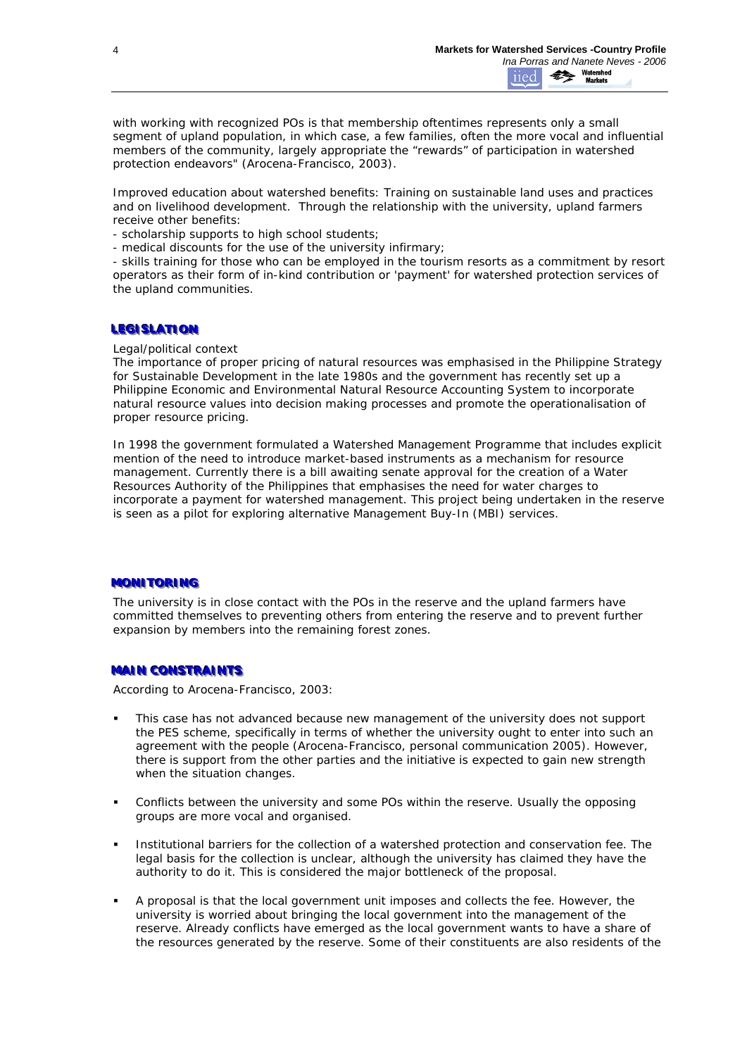*with working with recognized POs is that membership oftentimes represents only a small segment of upland population, in which case, a few families, often the more vocal and influential members of the community, largely appropriate the "rewards" of participation in watershed protection endeavors*" (Arocena-Francisco, 2003).

*Improved education about watershed benefits*: Training on sustainable land uses and practices and on livelihood development. Through the relationship with the university, upland farmers receive other benefits:

- scholarship supports to high school students;

- medical discounts for the use of the university infirmary;

- skills training for those who can be employed in the tourism resorts as a commitment by resort operators as their form of in-kind contribution or 'payment' for watershed protection services of the upland communities.

# **LEGISLATION**

*Legal/political context*

The importance of proper pricing of natural resources was emphasised in the Philippine Strategy for Sustainable Development in the late 1980s and the government has recently set up a Philippine Economic and Environmental Natural Resource Accounting System to incorporate natural resource values into decision making processes and promote the operationalisation of proper resource pricing.

In 1998 the government formulated a Watershed Management Programme that includes explicit mention of the need to introduce market-based instruments as a mechanism for resource management. Currently there is a bill awaiting senate approval for the creation of a Water Resources Authority of the Philippines that emphasises the need for water charges to incorporate a payment for watershed management. This project being undertaken in the reserve is seen as a pilot for exploring alternative Management Buy-In (MBI) services.

## **MONITORING**

The university is in close contact with the POs in the reserve and the upland farmers have committed themselves to preventing others from entering the reserve and to prevent further expansion by members into the remaining forest zones.

## **MAIN CONSTRAINTS**

According to Arocena-Francisco, 2003:

- This case has not advanced because new management of the university does not support the PES scheme, specifically in terms of whether the university ought to enter into such an agreement with the people (Arocena-Francisco, personal communication 2005). However, there is support from the other parties and the initiative is expected to gain new strength when the situation changes.
- Conflicts between the university and some POs within the reserve. Usually the opposing groups are more vocal and organised.
- Institutional barriers for the collection of a watershed protection and conservation fee. The legal basis for the collection is unclear, although the university has claimed they have the authority to do it. This is considered the major bottleneck of the proposal.
- A proposal is that the local government unit imposes and collects the fee. However, the university is worried about bringing the local government into the management of the reserve. Already conflicts have emerged as the local government wants to have a share of the resources generated by the reserve. Some of their constituents are also residents of the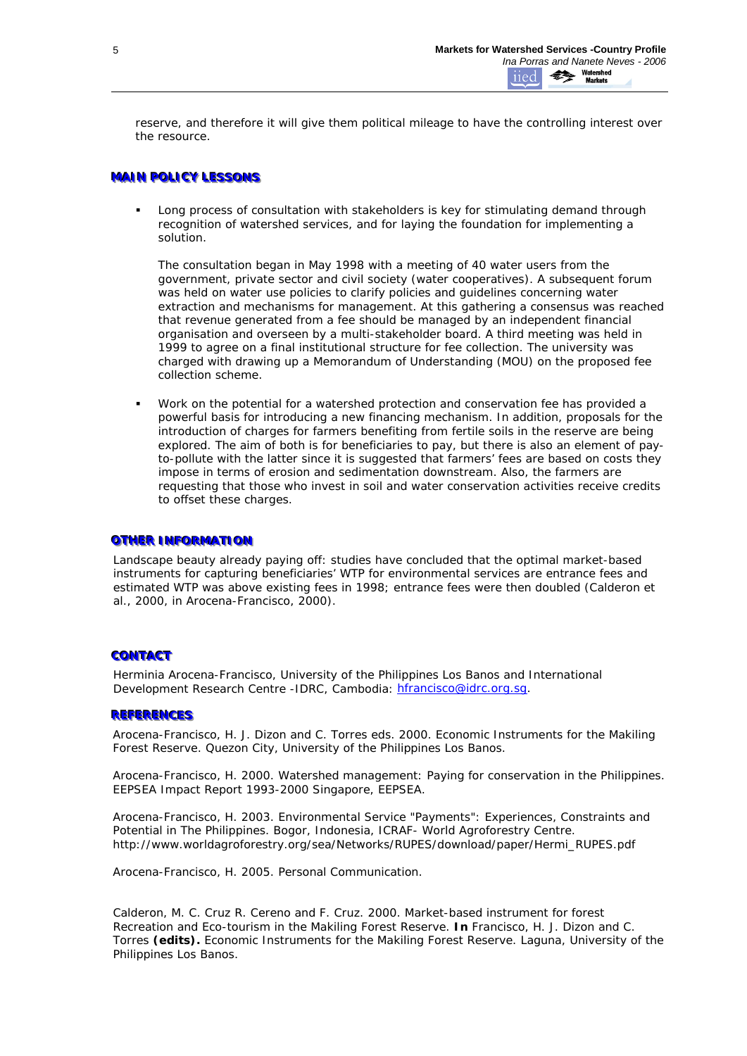reserve, and therefore it will give them political mileage to have the controlling interest over the resource.

# **MAIN POLICY LESSONS**

 Long process of consultation with stakeholders is key for stimulating demand through recognition of watershed services, and for laying the foundation for implementing a solution.

The consultation began in May 1998 with a meeting of 40 water users from the government, private sector and civil society (water cooperatives). A subsequent forum was held on water use policies to clarify policies and guidelines concerning water extraction and mechanisms for management. At this gathering a consensus was reached that revenue generated from a fee should be managed by an independent financial organisation and overseen by a multi-stakeholder board. A third meeting was held in 1999 to agree on a final institutional structure for fee collection. The university was charged with drawing up a Memorandum of Understanding (MOU) on the proposed fee collection scheme.

 Work on the potential for a watershed protection and conservation fee has provided a powerful basis for introducing a new financing mechanism. In addition, proposals for the introduction of charges for farmers benefiting from fertile soils in the reserve are being explored. The aim of both is for beneficiaries to pay, but there is also an element of payto-pollute with the latter since it is suggested that farmers' fees are based on costs they impose in terms of erosion and sedimentation downstream. Also, the farmers are requesting that those who invest in soil and water conservation activities receive credits to offset these charges.

# **OTHER INFORMATION**

*Landscape beauty already paying off:* studies have concluded that the optimal market-based instruments for capturing beneficiaries' WTP for environmental services are entrance fees and estimated WTP was above existing fees in 1998; entrance fees were then doubled (Calderon et al., 2000, in Arocena-Francisco, 2000).

# **CONTACT**

Herminia Arocena-Francisco, University of the Philippines Los Banos and International Development Research Centre -IDRC, Cambodia: hfrancisco@idrc.org.sq.

# **REFERENCES**

Arocena-Francisco, H. J. Dizon and C. Torres eds. 2000. Economic Instruments for the Makiling Forest Reserve. Quezon City, University of the Philippines Los Banos.

Arocena-Francisco, H. 2000. Watershed management: Paying for conservation in the Philippines. EEPSEA Impact Report 1993-2000 Singapore, EEPSEA.

Arocena-Francisco, H. 2003. Environmental Service "Payments": Experiences, Constraints and Potential in The Philippines. Bogor, Indonesia, ICRAF- World Agroforestry Centre. http://www.worldagroforestry.org/sea/Networks/RUPES/download/paper/Hermi\_RUPES.pdf

Arocena-Francisco, H. 2005. Personal Communication.

Calderon, M. C. Cruz R. Cereno and F. Cruz. 2000. Market-based instrument for forest Recreation and Eco-tourism in the Makiling Forest Reserve. **In** Francisco, H. J. Dizon and C. Torres **(edits).** Economic Instruments for the Makiling Forest Reserve. Laguna, University of the Philippines Los Banos.